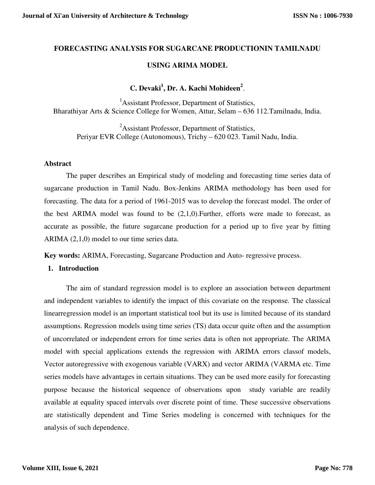# **FORECASTING ANALYSIS FOR SUGARCANE PRODUCTIONIN TAMILNADU**

# **USING ARIMA MODEL**

# **C. Devaki<sup>1</sup> , Dr. A. Kachi Mohideen<sup>2</sup>** .

<sup>1</sup>Assistant Professor, Department of Statistics, Bharathiyar Arts & Science College for Women, Attur, Selam – 636 112.Tamilnadu, India.

<sup>2</sup>Assistant Professor, Department of Statistics, Periyar EVR College (Autonomous), Trichy – 620 023. Tamil Nadu, India.

### **Abstract**

 The paper describes an Empirical study of modeling and forecasting time series data of sugarcane production in Tamil Nadu. Box-Jenkins ARIMA methodology has been used for forecasting. The data for a period of 1961-2015 was to develop the forecast model. The order of the best ARIMA model was found to be  $(2,1,0)$ . Further, efforts were made to forecast, as accurate as possible, the future sugarcane production for a period up to five year by fitting ARIMA (2,1,0) model to our time series data.

**Key words:** ARIMA, Forecasting, Sugarcane Production and Auto- regressive process.

### **1. Introduction**

 The aim of standard regression model is to explore an association between department and independent variables to identify the impact of this covariate on the response. The classical linearregression model is an important statistical tool but its use is limited because of its standard assumptions. Regression models using time series (TS) data occur quite often and the assumption of uncorrelated or independent errors for time series data is often not appropriate. The ARIMA model with special applications extends the regression with ARIMA errors classof models, Vector autoregressive with exogenous variable (VARX) and vector ARIMA (VARMA etc. Time series models have advantages in certain situations. They can be used more easily for forecasting purpose because the historical sequence of observations upon study variable are readily available at equality spaced intervals over discrete point of time. These successive observations are statistically dependent and Time Series modeling is concerned with techniques for the analysis of such dependence.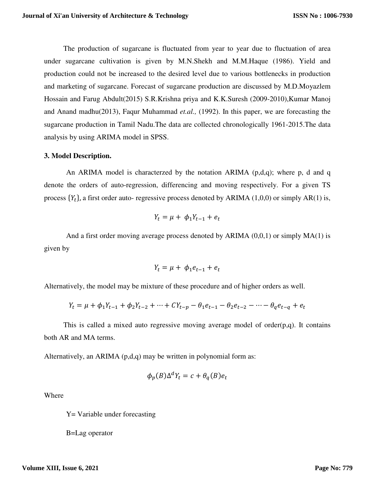The production of sugarcane is fluctuated from year to year due to fluctuation of area under sugarcane cultivation is given by M.N.Shekh and M.M.Haque (1986). Yield and production could not be increased to the desired level due to various bottlenecks in production and marketing of sugarcane. Forecast of sugarcane production are discussed by M.D.Moyazlem Hossain and Farug Abdult(2015) S.R.Krishna priya and K.K.Suresh (2009-2010),Kumar Manoj and Anand madhu(2013), Faqur Muhammad *et.al.,* (1992). In this paper, we are forecasting the sugarcane production in Tamil Nadu.The data are collected chronologically 1961-2015.The data analysis by using ARIMA model in SPSS.

### **3. Model Description.**

An ARIMA model is characterzed by the notation ARIMA (p,d,q); where p, d and q denote the orders of auto-regression, differencing and moving respectively. For a given TS process  $\{Y_t\}$ , a first order auto- regressive process denoted by ARIMA (1,0,0) or simply AR(1) is,

$$
Y_t = \mu + \phi_1 Y_{t-1} + e_t
$$

And a first order moving average process denoted by ARIMA  $(0,0,1)$  or simply MA $(1)$  is given by

$$
Y_t = \mu + \phi_1 e_{t-1} + e_t
$$

Alternatively, the model may be mixture of these procedure and of higher orders as well.

$$
Y_t = \mu + \phi_1 Y_{t-1} + \phi_2 Y_{t-2} + \dots + CY_{t-p} - \theta_1 e_{t-1} - \theta_2 e_{t-2} - \dots - \theta_q e_{t-q} + e_t
$$

This is called a mixed auto regressive moving average model of order $(p,q)$ . It contains both AR and MA terms.

Alternatively, an ARIMA (p,d,q) may be written in polynomial form as:

$$
\phi_p(B)\Delta^d Y_t = c + \theta_q(B)e_t
$$

Where

Y= Variable under forecasting

B=Lag operator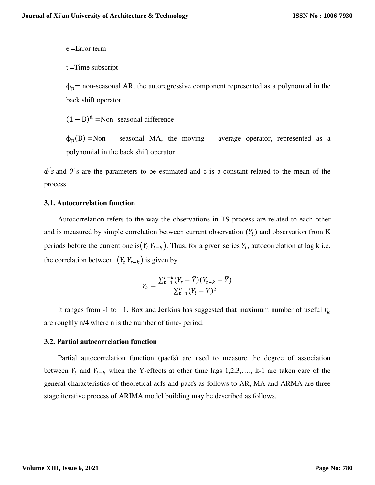e =Error term

t =Time subscript

 $\phi_p$ = non-seasonal AR, the autoregressive component represented as a polynomial in the back shift operator

 $(1 - B)<sup>d</sup>$  =Non- seasonal difference

 $\phi_p(B)$  =Non – seasonal MA, the moving – average operator, represented as a polynomial in the back shift operator

 $\phi$ 's and  $\theta$ 's are the parameters to be estimated and c is a constant related to the mean of the process

#### **3.1. Autocorrelation function**

 Autocorrelation refers to the way the observations in TS process are related to each other and is measured by simple correlation between current observation  $(Y_t)$  and observation from K periods before the current one is $(Y_t, Y_{t-k})$ . Thus, for a given series  $Y_t$ , autocorrelation at lag k i.e. the correlation between  $(Y_t, Y_{t-k})$  is given by

$$
r_{k} = \frac{\sum_{t=1}^{n-k} (Y_{t} - \overline{Y})(Y_{t-k} - \overline{Y})}{\sum_{t=1}^{n} (Y_{t} - \overline{Y})^{2}}
$$

It ranges from -1 to +1. Box and Jenkins has suggested that maximum number of useful  $r_k$ are roughly n/4 where n is the number of time- period.

### **3.2. Partial autocorrelation function**

 Partial autocorrelation function (pacfs) are used to measure the degree of association between  $Y_t$  and  $Y_{t-k}$  when the Y-effects at other time lags 1,2,3,..., k-1 are taken care of the general characteristics of theoretical acfs and pacfs as follows to AR, MA and ARMA are three stage iterative process of ARIMA model building may be described as follows.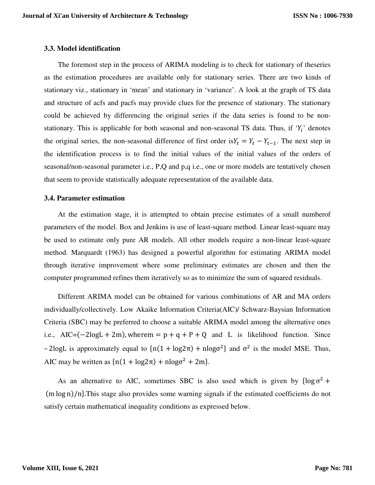## **3.3. Model identification**

 The foremost step in the process of ARIMA modeling is to check for stationary of theseries as the estimation procedures are available only for stationary series. There are two kinds of stationary viz., stationary in 'mean' and stationary in 'variance'. A look at the graph of TS data and structure of acfs and pacfs may provide clues for the presence of stationary. The stationary could be achieved by differencing the original series if the data series is found to be nonstationary. This is applicable for both seasonal and non-seasonal TS data. Thus, if ' $Y_i$ ' denotes the original series, the non-seasonal difference of first order is  $Y_t = Y_t - Y_{t-1}$ . The next step in the identification process is to find the initial values of the initial values of the orders of seasonal/non-seasonal parameter i.e., P,Q and p,q i.e., one or more models are tentatively chosen that seem to provide statistically adequate representation of the available data.

#### **3.4. Parameter estimation**

 At the estimation stage, it is attempted to obtain precise estimates of a small numberof parameters of the model. Box and Jenkins is use of least-square method. Linear least-square may be used to estimate only pure AR models. All other models require a non-linear least-square method. Marquardt (1963) has designed a powerful algorithm for estimating ARIMA model through iterative improvement where some preliminary estimates are chosen and then the computer programmed refines them iteratively so as to minimize the sum of squared residuals.

 Different ARIMA model can be obtained for various combinations of AR and MA orders individually/collectively. Low Akaike Information Criteria(AIC)/ Schwarz-Baysian Information Criteria (SBC) may be preferred to choose a suitable ARIMA model among the alternative ones i.e., AIC= $(-2logL + 2m)$ , wherem =  $p + q + P + Q$  and L is likelihood function. Since - 2logL is approximately equal to  $\{n(1 + \log 2\pi) + n\log \sigma^2\}$  and  $\sigma^2$  is the model MSE. Thus, AIC may be written as  $\{n(1 + \log 2\pi) + n\log \sigma^2 + 2m\}.$ 

As an alternative to AIC, sometimes SBC is also used which is given by  $\{\log \sigma^2 +$  $(m \log n)/n$ . This stage also provides some warning signals if the estimated coefficients do not satisfy certain mathematical inequality conditions as expressed below.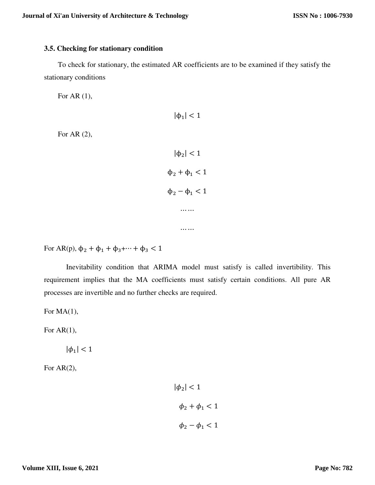## **3.5. Checking for stationary condition**

 To check for stationary, the estimated AR coefficients are to be examined if they satisfy the stationary conditions

For AR (1),

For AR (2),

```
|\phi_1| < 1
   |\phi_2| < 1
\phi_2 + \phi_1 < 1\phi_2 - \phi_1 < 1⋯ ⋯
     ……
```
For AR(p),  $\phi_2 + \phi_1 + \phi_3 + \cdots + \phi_3 < 1$ 

Inevitability condition that ARIMA model must satisfy is called invertibility. This requirement implies that the MA coefficients must satisfy certain conditions. All pure AR processes are invertible and no further checks are required.

For MA $(1)$ ,

For  $AR(1)$ ,

 $|\phi_1|$  < 1

For AR(2),

$$
|\phi_2| < 1
$$
\n
$$
\phi_2 + \phi_1 < 1
$$
\n
$$
\phi_2 - \phi_1 < 1
$$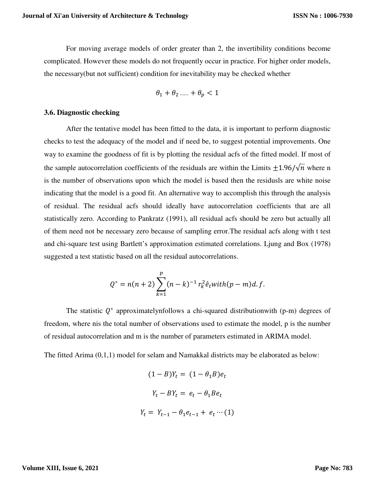For moving average models of order greater than 2, the invertibility conditions become complicated. However these models do not frequently occur in practice. For higher order models, the necessary(but not sufficient) condition for inevitability may be checked whether

$$
\theta_1 + \theta_2 \dots + \theta_p < 1
$$

### **3.6. Diagnostic checking**

After the tentative model has been fitted to the data, it is important to perform diagnostic checks to test the adequacy of the model and if need be, to suggest potential improvements. One way to examine the goodness of fit is by plotting the residual acfs of the fitted model. If most of the sample autocorrelation coefficients of the residuals are within the Limits  $\pm 1.96/\sqrt{n}$  where n is the number of observations upon which the model is based then the residusls are white noise indicating that the model is a good fit. An alternative way to accomplish this through the analysis of residual. The residual acfs should ideally have autocorrelation coefficients that are all statistically zero. According to Pankratz (1991), all residual acfs should be zero but actually all of them need not be necessary zero because of sampling error.The residual acfs along with t test and chi-square test using Bartlett's approximation estimated correlations. Ljung and Box (1978) suggested a test statistic based on all the residual autocorrelations.

$$
Q^* = n(n+2) \sum_{k=1}^p (n-k)^{-1} r_k^2 \hat{e}_t with (p-m)d.f.
$$

The statistic  $Q^*$  approximatelynfollows a chi-squared distributionwith (p-m) degrees of freedom, where nis the total number of observations used to estimate the model, p is the number of residual autocorrelation and m is the number of parameters estimated in ARIMA model.

The fitted Arima (0,1,1) model for selam and Namakkal districts may be elaborated as below:

$$
(1 - B)Y_t = (1 - \theta_1 B)e_t
$$

$$
Y_t - BY_t = e_t - \theta_1 Be_t
$$

$$
Y_t = Y_{t-1} - \theta_1 e_{t-1} + e_t \cdots (1)
$$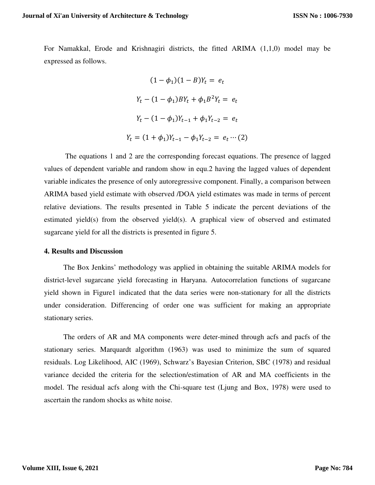For Namakkal, Erode and Krishnagiri districts, the fitted ARIMA (1,1,0) model may be expressed as follows.

$$
(1 - \phi_1)(1 - B)Y_t = e_t
$$
  
\n
$$
Y_t - (1 - \phi_1)BY_t + \phi_1 B^2 Y_t = e_t
$$
  
\n
$$
Y_t - (1 - \phi_1)Y_{t-1} + \phi_1 Y_{t-2} = e_t
$$
  
\n
$$
Y_t = (1 + \phi_1)Y_{t-1} - \phi_1 Y_{t-2} = e_t \cdots (2)
$$

 The equations 1 and 2 are the corresponding forecast equations. The presence of lagged values of dependent variable and random show in equ.2 having the lagged values of dependent variable indicates the presence of only autoregressive component. Finally, a comparison between ARIMA based yield estimate with observed /DOA yield estimates was made in terms of percent relative deviations. The results presented in Table 5 indicate the percent deviations of the estimated yield(s) from the observed yield(s). A graphical view of observed and estimated sugarcane yield for all the districts is presented in figure 5.

#### **4. Results and Discussion**

 The Box Jenkins' methodology was applied in obtaining the suitable ARIMA models for district-level sugarcane yield forecasting in Haryana. Autocorrelation functions of sugarcane yield shown in Figure1 indicated that the data series were non-stationary for all the districts under consideration. Differencing of order one was sufficient for making an appropriate stationary series.

 The orders of AR and MA components were deter-mined through acfs and pacfs of the stationary series. Marquardt algorithm (1963) was used to minimize the sum of squared residuals. Log Likelihood, AIC (1969), Schwarz's Bayesian Criterion, SBC (1978) and residual variance decided the criteria for the selection/estimation of AR and MA coefficients in the model. The residual acfs along with the Chi-square test (Ljung and Box, 1978) were used to ascertain the random shocks as white noise.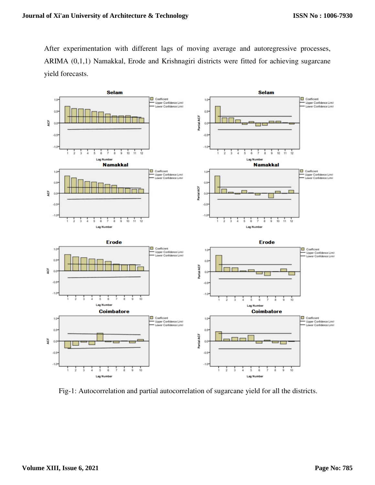After experimentation with different lags of moving average and autoregressive processes, ARIMA (0,1,1) Namakkal, Erode and Krishnagiri districts were fitted for achieving sugarcane yield forecasts.



Fig-1: Autocorrelation and partial autocorrelation of sugarcane yield for all the districts.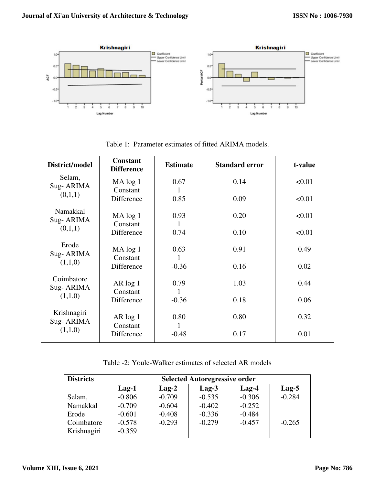

| District/model           | <b>Constant</b><br><b>Difference</b> | <b>Estimate</b> | <b>Standard error</b> | t-value |
|--------------------------|--------------------------------------|-----------------|-----------------------|---------|
| Selam,<br>Sug-ARIMA      | MA log 1<br>Constant                 | 0.67            | 0.14                  | < 0.01  |
| (0,1,1)                  | Difference                           | 0.85            | 0.09                  | < 0.01  |
| Namakkal<br>Sug-ARIMA    | MA log 1<br>Constant                 | 0.93            | 0.20                  | < 0.01  |
| (0,1,1)                  | Difference                           | 0.74            | 0.10                  | < 0.01  |
| Erode<br>Sug-ARIMA       | MA log 1<br>Constant                 | 0.63            | 0.91                  | 0.49    |
| (1,1,0)                  | Difference                           | $-0.36$         | 0.16                  | 0.02    |
| Coimbatore<br>Sug-ARIMA  | $AR \log 1$<br>Constant              | 0.79<br>1       | 1.03                  | 0.44    |
| (1,1,0)                  | Difference                           | $-0.36$         | 0.18                  | 0.06    |
| Krishnagiri<br>Sug-ARIMA | $AR \log 1$<br>Constant              | 0.80<br>1       | 0.80                  | 0.32    |
| (1,1,0)                  | Difference                           | $-0.48$         | 0.17                  | 0.01    |

Table 1: Parameter estimates of fitted ARIMA models.

Table -2: Youle-Walker estimates of selected AR models

| <b>Districts</b> | <b>Selected Autoregressive order</b> |          |          |          |          |  |  |  |  |  |
|------------------|--------------------------------------|----------|----------|----------|----------|--|--|--|--|--|
|                  | $Lag-1$                              | $Lag-2$  | $Lag-3$  | $Lag-4$  | $Lag-5$  |  |  |  |  |  |
| Selam,           | $-0.806$                             | $-0.709$ | $-0.535$ | $-0.306$ | $-0.284$ |  |  |  |  |  |
| Namakkal         | $-0.709$                             | $-0.604$ | $-0.402$ | $-0.252$ |          |  |  |  |  |  |
| Erode            | $-0.601$                             | $-0.408$ | $-0.336$ | $-0.484$ |          |  |  |  |  |  |
| Coimbatore       | $-0.578$                             | $-0.293$ | $-0.279$ | $-0.457$ | $-0.265$ |  |  |  |  |  |
| Krishnagiri      | $-0.359$                             |          |          |          |          |  |  |  |  |  |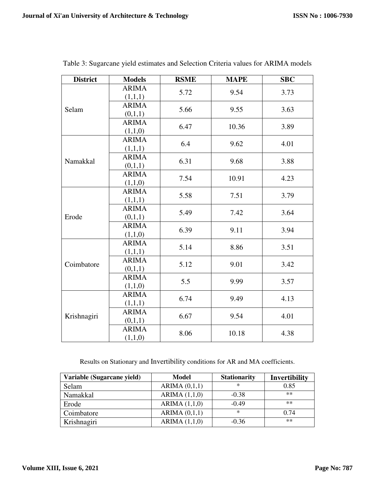| <b>District</b> | <b>Models</b>                   | <b>RSME</b> | <b>MAPE</b> | <b>SBC</b> |
|-----------------|---------------------------------|-------------|-------------|------------|
|                 | <b>ARIMA</b><br>(1,1,1)         | 5.72        | 9.54        | 3.73       |
| Selam           | <b>ARIMA</b><br>(0,1,1)         | 5.66        | 9.55        | 3.63       |
|                 | <b>ARIMA</b><br>(1,1,0)         | 6.47        | 10.36       | 3.89       |
|                 | <b>ARIMA</b><br>(1,1,1)         | 6.4         | 9.62        | 4.01       |
| Namakkal        | <b>ARIMA</b><br>(0,1,1)         | 6.31        | 9.68        | 3.88       |
|                 | <b>ARIMA</b><br>(1,1,0)         | 7.54        | 10.91       | 4.23       |
|                 | <b>ARIMA</b><br>(1,1,1)         | 5.58        | 7.51        | 3.79       |
| Erode           | <b>ARIMA</b><br>(0,1,1)         | 5.49        | 7.42        | 3.64       |
|                 | <b>ARIMA</b><br>(1,1,0)         | 6.39        | 9.11        | 3.94       |
|                 | <b>ARIMA</b><br>5.14<br>(1,1,1) |             | 8.86        | 3.51       |
| Coimbatore      | <b>ARIMA</b><br>(0,1,1)         | 5.12        | 9.01        | 3.42       |
|                 | <b>ARIMA</b><br>(1,1,0)         | 5.5         | 9.99        | 3.57       |
| Krishnagiri     | <b>ARIMA</b><br>(1,1,1)         | 6.74        | 9.49        | 4.13       |
|                 | <b>ARIMA</b><br>(0,1,1)         | 6.67        | 9.54        | 4.01       |
|                 | <b>ARIMA</b><br>(1,1,0)         | 8.06        | 10.18       | 4.38       |

Table 3: Sugarcane yield estimates and Selection Criteria values for ARIMA models

Results on Stationary and Invertibility conditions for AR and MA coefficients.

| Variable (Sugarcane yield) | Model           | <b>Stationarity</b> | Invertibility |
|----------------------------|-----------------|---------------------|---------------|
| Selam                      | ARIMA $(0,1,1)$ | ∗                   | 0.85          |
| Namakkal                   | ARIMA $(1,1,0)$ | $-0.38$             | $**$          |
| Erode                      | ARIMA $(1,1,0)$ | $-0.49$             | $**$          |
| Coimbatore                 | ARIMA $(0,1,1)$ | ∗                   | 0.74          |
| Krishnagiri                | ARIMA $(1,1,0)$ | $-0.36$             | $**$          |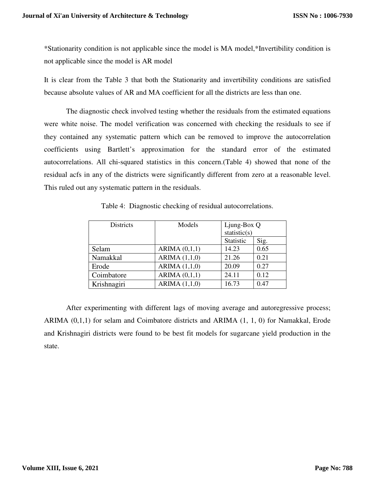\*Stationarity condition is not applicable since the model is MA model,\*Invertibility condition is not applicable since the model is AR model

It is clear from the Table 3 that both the Stationarity and invertibility conditions are satisfied because absolute values of AR and MA coefficient for all the districts are less than one.

The diagnostic check involved testing whether the residuals from the estimated equations were white noise. The model verification was concerned with checking the residuals to see if they contained any systematic pattern which can be removed to improve the autocorrelation coefficients using Bartlett's approximation for the standard error of the estimated autocorrelations. All chi-squared statistics in this concern.(Table 4) showed that none of the residual acfs in any of the districts were significantly different from zero at a reasonable level. This ruled out any systematic pattern in the residuals.

| <b>Districts</b> | Models          | Ljung-Box Q  |      |
|------------------|-----------------|--------------|------|
|                  |                 | statistic(s) |      |
|                  |                 | Statistic    | Sig. |
| Selam            | ARIMA(0,1,1)    | 14.23        | 0.65 |
| Namakkal         | ARIMA $(1,1,0)$ | 21.26        | 0.21 |
| Erode            | ARIMA $(1,1,0)$ | 20.09        | 0.27 |
| Coimbatore       | ARIMA $(0,1,1)$ | 24.11        | 0.12 |
| Krishnagiri      | ARIMA(1,1,0)    | 16.73        | 0.47 |

Table 4: Diagnostic checking of residual autocorrelations.

 After experimenting with different lags of moving average and autoregressive process; ARIMA (0,1,1) for selam and Coimbatore districts and ARIMA (1, 1, 0) for Namakkal, Erode and Krishnagiri districts were found to be best fit models for sugarcane yield production in the state.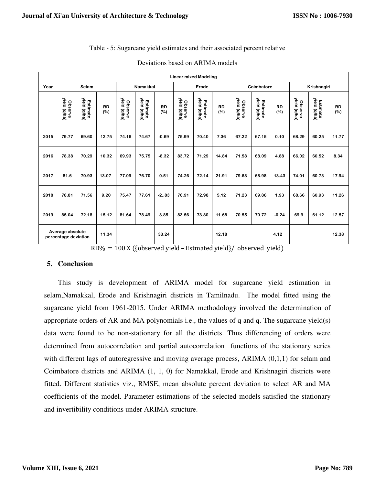# Table - 5: Sugarcane yield estimates and their associated percent relative

|      | <b>Linear mixed Modeling</b>             |                          |                  |                         |                          |                  |                         |                          |                  |                         |                          |                  |                         |                          |                     |
|------|------------------------------------------|--------------------------|------------------|-------------------------|--------------------------|------------------|-------------------------|--------------------------|------------------|-------------------------|--------------------------|------------------|-------------------------|--------------------------|---------------------|
| Year |                                          | Selam                    |                  |                         | <b>Namakkal</b>          |                  | Erode                   |                          | Coimbatore       |                         | Krishnagiri              |                  |                         |                          |                     |
|      | Observe<br>yield (q/ha)                  | yield (q/ha)<br>Estimate | <b>RD</b><br>(%) | yield (q/ha)<br>Observe | yield (q/ha)<br>Estimate | <b>RD</b><br>(%) | Observe<br>yield (q/ha) | yield (q/ha)<br>Estimate | <b>RD</b><br>(%) | yield (q/ha)<br>Observe | yield (q/ha)<br>Estimate | <b>RD</b><br>(%) | yield (q/ha)<br>Observe | yield (q/ha)<br>Estimate | <b>RD</b><br>$(\%)$ |
| 2015 | 79.77                                    | 69.60                    | 12.75            | 74.16                   | 74.67                    | $-0.69$          | 75.99                   | 70.40                    | 7.36             | 67.22                   | 67.15                    | 0.10             | 68.29                   | 60.25                    | 11.77               |
| 2016 | 78.38                                    | 70.29                    | 10.32            | 69.93                   | 75.75                    | $-8.32$          | 83.72                   | 71.29                    | 14.84            | 71.58                   | 68.09                    | 4.88             | 66.02                   | 60.52                    | 8.34                |
| 2017 | 81.6                                     | 70.93                    | 13.07            | 77.09                   | 76.70                    | 0.51             | 74.26                   | 72.14                    | 21.91            | 79.68                   | 68.98                    | 13.43            | 74.01                   | 60.73                    | 17.94               |
| 2018 | 78.81                                    | 71.56                    | 9.20             | 75.47                   | 77.61                    | $-2.083$         | 76.91                   | 72.98                    | 5.12             | 71.23                   | 69.86                    | 1.93             | 68.66                   | 60.93                    | 11.26               |
| 2019 | 85.04                                    | 72.18                    | 15.12            | 81.64                   | 78.49                    | 3.85             | 83.56                   | 73.80                    | 11.68            | 70.55                   | 70.72                    | $-0.24$          | 69.9                    | 61.12                    | 12.57               |
|      | Average absolute<br>percentage deviation |                          | 11.34            |                         |                          | 33.24            |                         |                          | 12.18            |                         |                          | 4.12             |                         |                          | 12.38               |

|  | Deviations based on ARIMA models |
|--|----------------------------------|
|--|----------------------------------|

 $RD% = 100 X ( {observed yield - Estimateed yield} / observed$ 

## **5. Conclusion**

 This study is development of ARIMA model for sugarcane yield estimation in selam,Namakkal, Erode and Krishnagiri districts in Tamilnadu. The model fitted using the sugarcane yield from 1961-2015. Under ARIMA methodology involved the determination of appropriate orders of AR and MA polynomials i.e., the values of q and q. The sugarcane yield(s) data were found to be non-stationary for all the districts. Thus differencing of orders were determined from autocorrelation and partial autocorrelation functions of the stationary series with different lags of autoregressive and moving average process, ARIMA  $(0,1,1)$  for selam and Coimbatore districts and ARIMA (1, 1, 0) for Namakkal, Erode and Krishnagiri districts were fitted. Different statistics viz., RMSE, mean absolute percent deviation to select AR and MA coefficients of the model. Parameter estimations of the selected models satisfied the stationary and invertibility conditions under ARIMA structure.